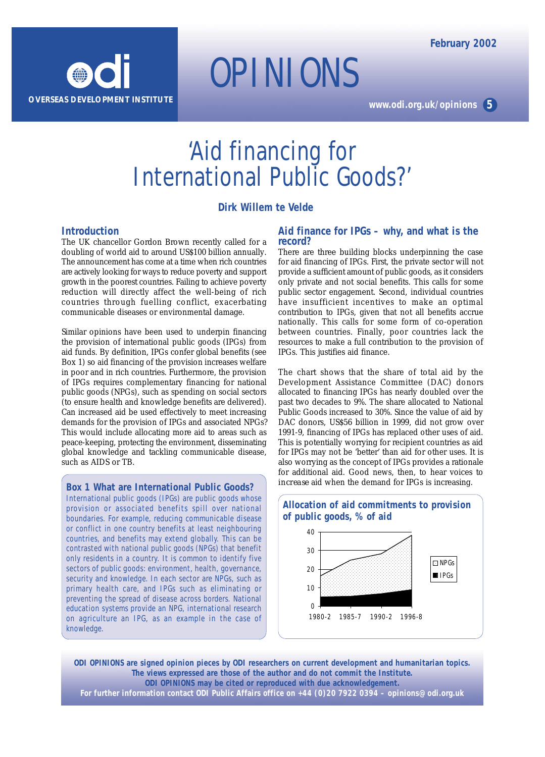

*OPINIONS*

**www.odi.org.uk/opinions 5**

## 'Aid financing for International Public Goods?'

**Dirk Willem te Velde**

## **Introduction**

The UK chancellor Gordon Brown recently called for a doubling of world aid to around US\$100 billion annually. The announcement has come at a time when rich countries are actively looking for ways to reduce poverty and support growth in the poorest countries. Failing to achieve poverty reduction will directly affect the well-being of rich countries through fuelling conflict, exacerbating communicable diseases or environmental damage.

Similar opinions have been used to underpin financing the provision of international public goods (IPGs) from aid funds. By definition, IPGs confer global benefits (see Box 1) so aid financing of the provision increases welfare in poor and in rich countries. Furthermore, the provision of IPGs requires complementary financing for national public goods (NPGs), such as spending on social sectors (to ensure health and knowledge benefits are delivered). Can increased aid be used effectively to meet increasing demands for the provision of IPGs and associated NPGs? This would include allocating more aid to areas such as peace-keeping, protecting the environment, disseminating global knowledge and tackling communicable disease, such as AIDS or TB.

**Box 1 What are International Public Goods?**

International public goods (IPGs) are public goods whose provision or associated benefits spill over national boundaries. For example, reducing communicable disease or conflict in one country benefits at least neighbouring countries, and benefits may extend globally. This can be contrasted with national public goods (NPGs) that benefit only residents in a country. It is common to identify five sectors of public goods: environment, health, governance, security and knowledge. In each sector are NPGs, such as primary health care, and IPGs such as eliminating or preventing the spread of disease across borders. National education systems provide an NPG, international research on agriculture an IPG, as an example in the case of knowledge.

## **Aid finance for IPGs – why, and what is the record?**

There are three building blocks underpinning the case for aid financing of IPGs. First, the private sector will not provide a sufficient amount of public goods, as it considers only private and not social benefits. This calls for some public sector engagement. Second, individual countries have insufficient incentives to make an optimal contribution to IPGs, given that not all benefits accrue nationally. This calls for some form of co-operation between countries. Finally, poor countries lack the resources to make a full contribution to the provision of IPGs. This justifies aid finance.

The chart shows that the share of total aid by the Development Assistance Committee (DAC) donors allocated to financing IPGs has nearly doubled over the past two decades to 9%. The share allocated to National Public Goods increased to 30%. Since the value of aid by DAC donors, US\$56 billion in 1999, did not grow over 1991-9, financing of IPGs has replaced other uses of aid. This is potentially worrying for recipient countries as aid for IPGs may not be 'better' than aid for other uses. It is also worrying as the concept of IPGs provides a rationale for additional aid. Good news, then, to hear voices to *increase* aid when the demand for IPGs is increasing.



**ODI** *OPINIONS* **are signed opinion pieces by ODI researchers on current development and humanitarian topics. The views expressed are those of the author and do not commit the Institute. ODI** *OPINIONS* **may be cited or reproduced with due acknowledgement.**

**For further information contact ODI Public Affairs office on +44 (0)20 7922 0394 – opinions@odi.org.uk**